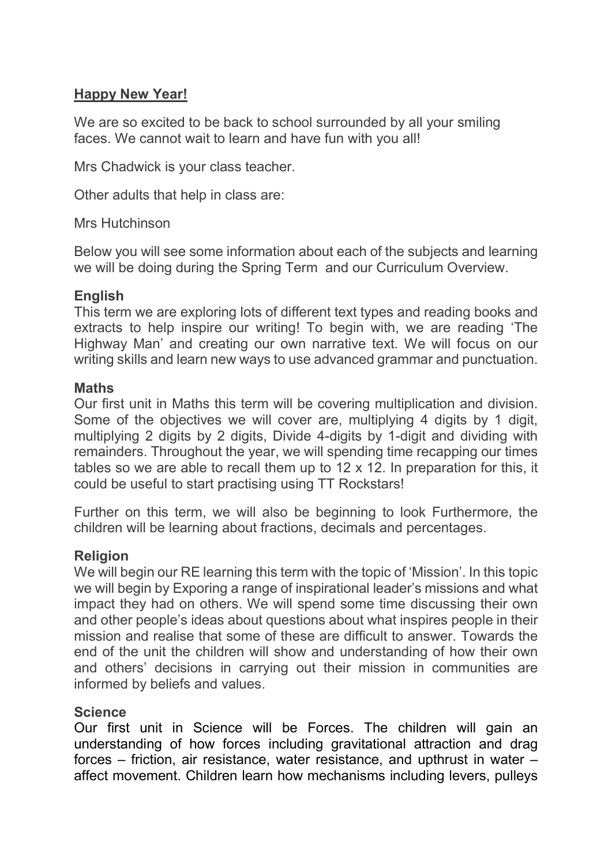# Happy New Year!

We are so excited to be back to school surrounded by all your smiling faces. We cannot wait to learn and have fun with you all!

Mrs Chadwick is your class teacher.

Other adults that help in class are:

Mrs Hutchinson

Below you will see some information about each of the subjects and learning we will be doing during the Spring Term and our Curriculum Overview.

## **English**

This term we are exploring lots of different text types and reading books and extracts to help inspire our writing! To begin with, we are reading 'The Highway Man' and creating our own narrative text. We will focus on our writing skills and learn new ways to use advanced grammar and punctuation.

### Maths

Our first unit in Maths this term will be covering multiplication and division. Some of the objectives we will cover are, multiplying 4 digits by 1 digit, multiplying 2 digits by 2 digits, Divide 4-digits by 1-digit and dividing with remainders. Throughout the year, we will spending time recapping our times tables so we are able to recall them up to 12 x 12. In preparation for this, it could be useful to start practising using TT Rockstars!

Further on this term, we will also be beginning to look Furthermore, the children will be learning about fractions, decimals and percentages.

## **Religion**

We will begin our RE learning this term with the topic of 'Mission'. In this topic we will begin by Exporing a range of inspirational leader's missions and what impact they had on others. We will spend some time discussing their own and other people's ideas about questions about what inspires people in their mission and realise that some of these are difficult to answer. Towards the end of the unit the children will show and understanding of how their own and others' decisions in carrying out their mission in communities are informed by beliefs and values.

## **Science**

Our first unit in Science will be Forces. The children will gain an understanding of how forces including gravitational attraction and drag forces – friction, air resistance, water resistance, and upthrust in water – affect movement. Children learn how mechanisms including levers, pulleys